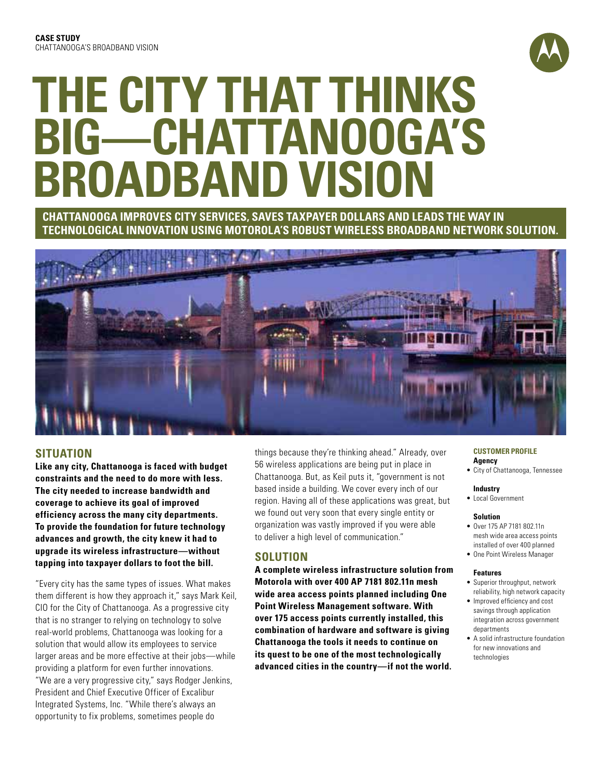

# **The City That Thinks Big—Chattanooga's Broadband Vision**

## **Chattanooga improves city services, saves taxpayer dollars and leads the way in technological innovation using Motorola's robust wireless BROADBAND network solution.**



## **SITUATION**

**Like any city, Chattanooga is faced with budget constraints and the need to do more with less. The city needed to increase bandwidth and coverage to achieve its goal of improved efficiency across the many city departments. To provide the foundation for future technology advances and growth, the city knew it had to upgrade its wireless infrastructure—without tapping into taxpayer dollars to foot the bill.**

"Every city has the same types of issues. What makes them different is how they approach it," says Mark Keil, CIO for the City of Chattanooga. As a progressive city that is no stranger to relying on technology to solve real-world problems, Chattanooga was looking for a solution that would allow its employees to service larger areas and be more effective at their jobs—while providing a platform for even further innovations. "We are a very progressive city," says Rodger Jenkins, President and Chief Executive Officer of Excalibur Integrated Systems, Inc. "While there's always an opportunity to fix problems, sometimes people do

things because they're thinking ahead." Already, over 56 wireless applications are being put in place in Chattanooga. But, as Keil puts it, "government is not based inside a building. We cover every inch of our region. Having all of these applications was great, but we found out very soon that every single entity or organization was vastly improved if you were able to deliver a high level of communication."

## **SOLUTION**

**A complete wireless infrastructure solution from Motorola with over 400 AP 7181 802.11n mesh wide area access points planned including One Point Wireless Management software. With over 175 access points currently installed, this combination of hardware and software is giving Chattanooga the tools it needs to continue on its quest to be one of the most technologically advanced cities in the country—if not the world.** 

#### **CUSTOMER PROFILE Agency**

• City of Chattanooga, Tennessee

#### **Industry**

• Local Government

#### **Solution**

- Over 175 AP 7181 802.11n mesh wide area access points installed of over 400 planned
- One Point Wireless Manager

#### **Features**

- Superior throughput, network reliability, high network capacity
- Improved efficiency and cost savings through application integration across government departments
- A solid infrastructure foundation for new innovations and technologies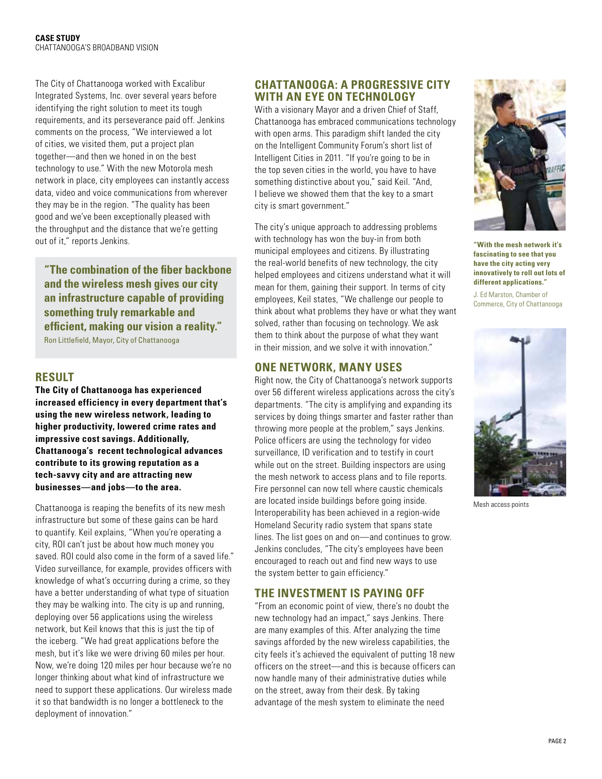The City of Chattanooga worked with Excalibur Integrated Systems, Inc. over several years before identifying the right solution to meet its tough requirements, and its perseverance paid off. Jenkins comments on the process, "We interviewed a lot of cities, we visited them, put a project plan together—and then we honed in on the best technology to use." With the new Motorola mesh network in place, city employees can instantly access data, video and voice communications from wherever they may be in the region. "The quality has been good and we've been exceptionally pleased with the throughput and the distance that we're getting out of it," reports Jenkins.

**"The combination of the fiber backbone and the wireless mesh gives our city an infrastructure capable of providing something truly remarkable and efficient, making our vision a reality."**  Ron Littlefield, Mayor, City of Chattanooga

## **RESULT**

**The City of Chattanooga has experienced increased efficiency in every department that's using the new wireless network, leading to higher productivity, lowered crime rates and impressive cost savings. Additionally, Chattanooga's recent technological advances contribute to its growing reputation as a tech-savvy city and are attracting new businesses—and jobs—to the area.**

Chattanooga is reaping the benefits of its new mesh infrastructure but some of these gains can be hard to quantify. Keil explains, "When you're operating a city, ROI can't just be about how much money you saved. ROI could also come in the form of a saved life." Video surveillance, for example, provides officers with knowledge of what's occurring during a crime, so they have a better understanding of what type of situation they may be walking into. The city is up and running, deploying over 56 applications using the wireless network, but Keil knows that this is just the tip of the iceberg. "We had great applications before the mesh, but it's like we were driving 60 miles per hour. Now, we're doing 120 miles per hour because we're no longer thinking about what kind of infrastructure we need to support these applications. Our wireless made it so that bandwidth is no longer a bottleneck to the deployment of innovation."

## **Chattanooga: A Progressive City With an Eye on Technology**

With a visionary Mayor and a driven Chief of Staff, Chattanooga has embraced communications technology with open arms. This paradigm shift landed the city on the Intelligent Community Forum's short list of Intelligent Cities in 2011. "If you're going to be in the top seven cities in the world, you have to have something distinctive about you," said Keil. "And, I believe we showed them that the key to a smart city is smart government."

The city's unique approach to addressing problems with technology has won the buy-in from both municipal employees and citizens. By illustrating the real-world benefits of new technology, the city helped employees and citizens understand what it will mean for them, gaining their support. In terms of city employees, Keil states, "We challenge our people to think about what problems they have or what they want solved, rather than focusing on technology. We ask them to think about the purpose of what they want in their mission, and we solve it with innovation."

# **ONE NETWORK, MANY USES**

Right now, the City of Chattanooga's network supports over 56 different wireless applications across the city's departments. "The city is amplifying and expanding its services by doing things smarter and faster rather than throwing more people at the problem," says Jenkins. Police officers are using the technology for video surveillance, ID verification and to testify in court while out on the street. Building inspectors are using the mesh network to access plans and to file reports. Fire personnel can now tell where caustic chemicals are located inside buildings before going inside. Interoperability has been achieved in a region-wide Homeland Security radio system that spans state lines. The list goes on and on—and continues to grow. Jenkins concludes, "The city's employees have been encouraged to reach out and find new ways to use the system better to gain efficiency."

## **THE INVESTMENT IS PAYING OFF**

"From an economic point of view, there's no doubt the new technology had an impact," says Jenkins. There are many examples of this. After analyzing the time savings afforded by the new wireless capabilities, the city feels it's achieved the equivalent of putting 18 new officers on the street—and this is because officers can now handle many of their administrative duties while on the street, away from their desk. By taking advantage of the mesh system to eliminate the need



**"With the mesh network it's fascinating to see that you have the city acting very innovatively to roll out lots of different applications."** 

J. Ed Marston, Chamber of Commerce, City of Chattanooga



Mesh access points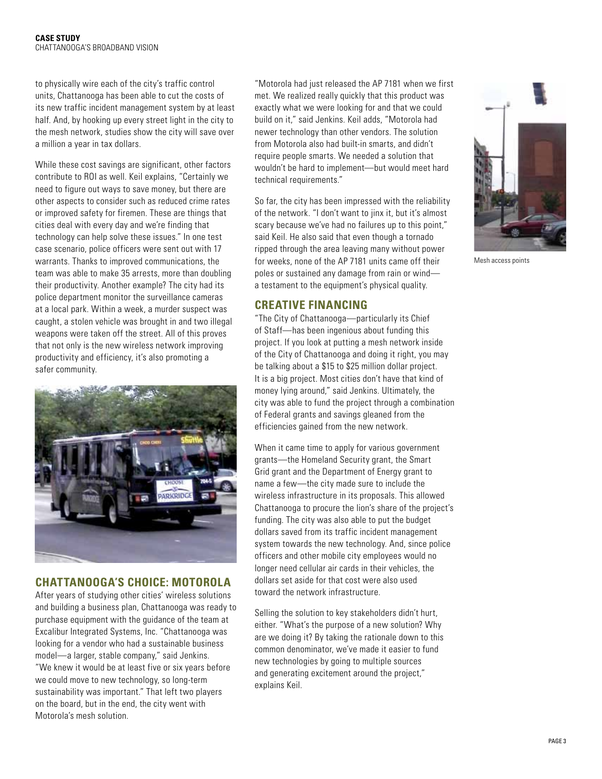to physically wire each of the city's traffic control units, Chattanooga has been able to cut the costs of its new traffic incident management system by at least half. And, by hooking up every street light in the city to the mesh network, studies show the city will save over a million a year in tax dollars.

While these cost savings are significant, other factors contribute to ROI as well. Keil explains, "Certainly we need to figure out ways to save money, but there are other aspects to consider such as reduced crime rates or improved safety for firemen. These are things that cities deal with every day and we're finding that technology can help solve these issues." In one test case scenario, police officers were sent out with 17 warrants. Thanks to improved communications, the team was able to make 35 arrests, more than doubling their productivity. Another example? The city had its police department monitor the surveillance cameras at a local park. Within a week, a murder suspect was caught, a stolen vehicle was brought in and two illegal weapons were taken off the street. All of this proves that not only is the new wireless network improving productivity and efficiency, it's also promoting a safer community.



## **Chattanooga's Choice: Motorola**

After years of studying other cities' wireless solutions and building a business plan, Chattanooga was ready to purchase equipment with the guidance of the team at Excalibur Integrated Systems, Inc. "Chattanooga was looking for a vendor who had a sustainable business model—a larger, stable company," said Jenkins. "We knew it would be at least five or six years before we could move to new technology, so long-term sustainability was important." That left two players on the board, but in the end, the city went with Motorola's mesh solution.

"Motorola had just released the AP 7181 when we first met. We realized really quickly that this product was exactly what we were looking for and that we could build on it," said Jenkins. Keil adds, "Motorola had newer technology than other vendors. The solution from Motorola also had built-in smarts, and didn't require people smarts. We needed a solution that wouldn't be hard to implement—but would meet hard technical requirements."

So far, the city has been impressed with the reliability of the network. "I don't want to jinx it, but it's almost scary because we've had no failures up to this point," said Keil. He also said that even though a tornado ripped through the area leaving many without power for weeks, none of the AP 7181 units came off their poles or sustained any damage from rain or wind a testament to the equipment's physical quality.

## **CREATIVE FINANCING**

"The City of Chattanooga—particularly its Chief of Staff—has been ingenious about funding this project. If you look at putting a mesh network inside of the City of Chattanooga and doing it right, you may be talking about a \$15 to \$25 million dollar project. It is a big project. Most cities don't have that kind of money lying around," said Jenkins. Ultimately, the city was able to fund the project through a combination of Federal grants and savings gleaned from the efficiencies gained from the new network.

When it came time to apply for various government grants—the Homeland Security grant, the Smart Grid grant and the Department of Energy grant to name a few—the city made sure to include the wireless infrastructure in its proposals. This allowed Chattanooga to procure the lion's share of the project's funding. The city was also able to put the budget dollars saved from its traffic incident management system towards the new technology. And, since police officers and other mobile city employees would no longer need cellular air cards in their vehicles, the dollars set aside for that cost were also used toward the network infrastructure.

Selling the solution to key stakeholders didn't hurt, either. "What's the purpose of a new solution? Why are we doing it? By taking the rationale down to this common denominator, we've made it easier to fund new technologies by going to multiple sources and generating excitement around the project," explains Keil.



Mesh access points